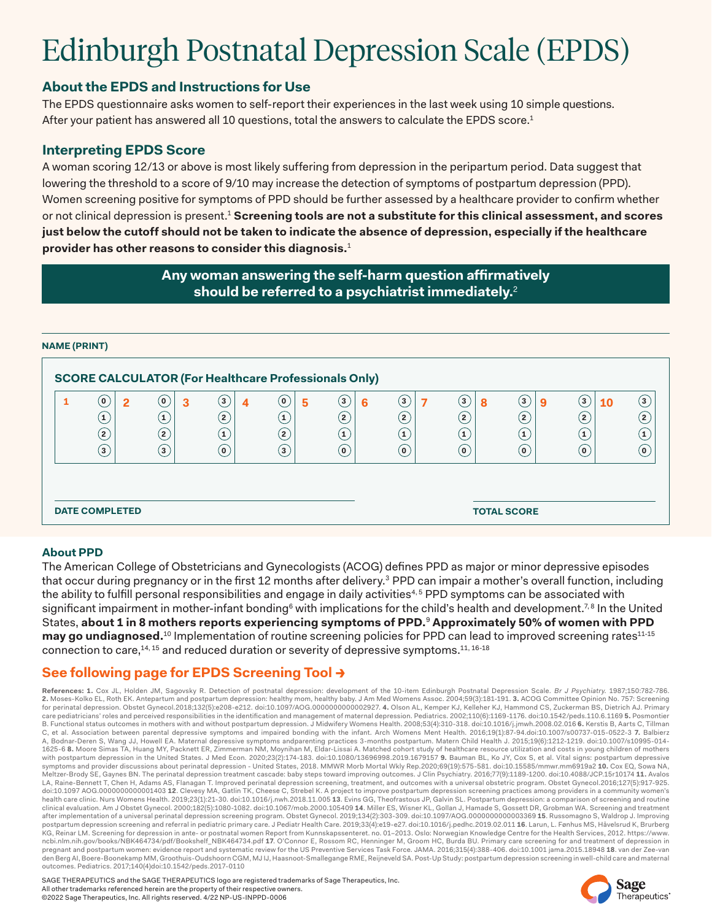# Edinburgh Postnatal Depression Scale (EPDS)

## **About the EPDS and Instructions for Use**

The EPDS questionnaire asks women to self-report their experiences in the last week using 10 simple questions. After your patient has answered all 10 questions, total the answers to calculate the EPDS score.<sup>1</sup>

### **Interpreting EPDS Score**

A woman scoring 12/13 or above is most likely suffering from depression in the peripartum period. Data suggest that lowering the threshold to a score of 9/10 may increase the detection of symptoms of postpartum depression (PPD). Women screening positive for symptoms of PPD should be further assessed by a healthcare provider to confirm whether or not clinical depression is present.1 **Screening tools are not a substitute for this clinical assessment, and scores just below the cutoff should not be taken to indicate the absence of depression, especially if the healthcare provider has other reasons to consider this diagnosis.**<sup>1</sup>

> **Any woman answering the self-harm question affirmatively should be referred to a psychiatrist immediately.**<sup>2</sup>

#### **NAME (PRINT)**

| <b>SCORE CALCULATOR (For Healthcare Professionals Only)</b> |                                   |                     |                              |                                  |                       |                             |                                   |                                |                                |                |
|-------------------------------------------------------------|-----------------------------------|---------------------|------------------------------|----------------------------------|-----------------------|-----------------------------|-----------------------------------|--------------------------------|--------------------------------|----------------|
|                                                             | $\alpha$<br>$\mathbf{2}$          | 0)<br>3             | $(\mathbf{3})$<br>4          | $\mathbf{\left( 0\right) }$<br>5 | $\left(3\right)$<br>6 | $\bf(3)$                    | $\bf{(3)}$<br>8                   | (3<br>-9                       | (з<br><b>10</b>                | (3             |
|                                                             | $\mathbf{1}$<br>$\left( 2\right)$ | $\mathbf{1}$<br>(2) | $\mathbf{2}$<br>$\mathbf{1}$ | $\mathbf{1}$<br>$\mathbf{2}$     | (2)<br>$\mathbf{1}$   | $({\sf z})$<br>$\mathbf{1}$ | $\left( 2\right)$<br>$\mathbf{1}$ | $\overline{2}$<br>$\mathbf{1}$ | $\overline{2}$<br>$\mathbf{1}$ | $\overline{2}$ |
|                                                             | $\overline{\mathbf{3}}$           | $\left( 3\right)$   | (O)                          | $\mathbf{3}$                     | O)                    | $\mathbf{(\mathfrak{o})}$   | $\mathbf{0}$                      | 0)                             | Ω                              | O              |
|                                                             |                                   |                     |                              |                                  |                       |                             |                                   |                                |                                |                |
| <b>DATE COMPLETED</b>                                       |                                   |                     |                              |                                  |                       | <b>TOTAL SCORE</b>          |                                   |                                |                                |                |
|                                                             |                                   |                     |                              |                                  |                       |                             |                                   |                                |                                |                |

#### **About PPD**

The American College of Obstetricians and Gynecologists (ACOG) defines PPD as major or minor depressive episodes that occur during pregnancy or in the first 12 months after delivery.<sup>3</sup> PPD can impair a mother's overall function, including the ability to fulfill personal responsibilities and engage in daily activities<sup>4,5</sup> PPD symptoms can be associated with significant impairment in mother-infant bonding<sup>6</sup> with implications for the child's health and development.<sup>7,8</sup> In the United States, **about 1 in 8 mothers reports experiencing symptoms of PPD.**<sup>9</sup> **Approximately 50% of women with PPD may go undiagnosed.**<sup>10</sup> Implementation of routine screening policies for PPD can lead to improved screening rates<sup>11-15</sup> connection to care,14, 15 and reduced duration or severity of depressive symptoms.11, 16-18

## **See following page for EPDS Screening Tool →**

**References: 1.** Cox JL, Holden JM, Sagovsky R. Detection of postnatal depression: development of the 10-item Edinburgh Postnatal Depression Scale. Br J Psychiatry. 1987;150:782-786. **2.** Moses-Kolko EL, Roth EK. Antepartum and postpartum depression: healthy mom, healthy baby. J Am Med Womens Assoc. 2004;59(3):181-191. **3.** ACOG Committee Opinion No. 757: Screening for perinatal depression. Obstet Gynecol.2018;132(5):e208-e212. doi:10.1097/AOG.0000000000002927. **4.** Olson AL, Kemper KJ, Kelleher KJ, Hammond CS, Zuckerman BS, Dietrich AJ. Primary care pediatricians' roles and perceived responsibilities in the identification and management of maternal depression. Pediatrics. 2002;110(6):1169-1176. doi:10.1542/peds.110.6.1169 5. Posmontier<br>B. Functional status outcom C, et al. Association between parental depressive symptoms and impaired bonding with the infant. Arch Womens Ment Health. 2016;19(1):87-94.doi:10.1007/s00737-015-0522-3 **7.** Balbierz A, Bodnar-Deren S, Wang JJ, Howell EA. Maternal depressive symptoms andparenting practices 3-months postpartum. Matern Child Health J. 2015;19(6):1212-1219. doi:10.1007/s10995-014- 1625-6 **8.** Moore Simas TA, Huang MY, Packnett ER, Zimmerman NM, Moynihan M, Eldar-Lissai A. Matched cohort study of healthcare resource utilization and costs in young children of mothers with postpartum depression in the United States. J Med Econ. 2020;23(2):174-183. doi:10.1080/13696998.2019.1679157 **9.** Bauman BL, Ko JY, Cox S, et al. Vital signs: postpartum depressive symptoms and provider discussions about perinatal depression - United States, 2018. MMWR Morb Mortal Wkly Rep.2020;69(19):575-581. doi:10.15585/mmwr.mm6919a2 **10.** Cox EQ, Sowa NA, Meltzer-Brody SE, Gaynes BN. The perinatal depression treatment cascade: baby steps toward improving outcomes. J Clin Psychiatry. 2016;77(9):1189-1200. doi:10.4088/JCP.15r10174 **11.** Avalos<br>LA, Raine-Bennett T, Chen H, Ada doi:10.1097 AOG.0000000000001403 **12**. Clevesy MA, Gatlin TK, Cheese C, Strebel K. A project to improve postpartum depression screening practices among providers in a community women's health care clinic. Nurs Womens Health. 2019;23(1):21-30. doi:10.1016/j.nwh.2018.11.005 **13**. Evins GG, Theofrastous JP, Galvin SL. Postpartum depression: a comparison of screening and routine clinical evaluation. Am J Obstet Gynecol. 2000;182(5):1080-1082. doi:10.1067/mob.2000.105409 **14**. Miller ES, Wisner KL, Gollan J, Hamade S, Gossett DR, Grobman WA. Screening and treatment after implementation of a universal perinatal depression screening program. Obstet Gynecol. 2019;134(2):303-309. doi:10.1097/AOG.0000000000003369 **15**. Russomagno S, Waldrop J. Improving postpartum depression screening and referral in pediatric primary care. J Pediatr Health Care. 2019;33(4):e19-e27. doi:10.1016/j.pedhc.2019.02.011 **16**. Larun, L. Fønhus MS, Håvelsrud K, Brurberg KG, Reinar LM. Screening for depression in ante- or postnatal women Report from Kunnskapssenteret. no. 01−2013. Oslo: Norwegian Knowledge Centre for the Health Services, 2012. https://www. ncbi.nlm.nih.gov/books/NBK464734/pdf/Bookshelf\_NBK464734.pdf **17**. O'Connor E, Rossom RC, Henninger M, Groom HC, Burda BU. Primary care screening for and treatment of depression in<br>pregnant and postpartum women: evidence r den Berg AI, Boere-Boonekamp MM, Groothuis-Oudshoorn CGM, MJ IJ, Haasnoot-Smallegange RME, Reijneveld SA. Post-Up Study: postpartum depression screening in well-child care and maternal outcomes. Pediatrics. 2017;140(4)doi:10.1542/peds.2017-0110

SAGE THERAPEUTICS and the SAGE THERAPEUTICS logo are registered trademarks of Sage Therapeutics, Inc. All other trademarks referenced herein are the property of their respective owners. ©2022 Sage Therapeutics, Inc. All rights reserved. 4/22 NP-US-INPPD-0006